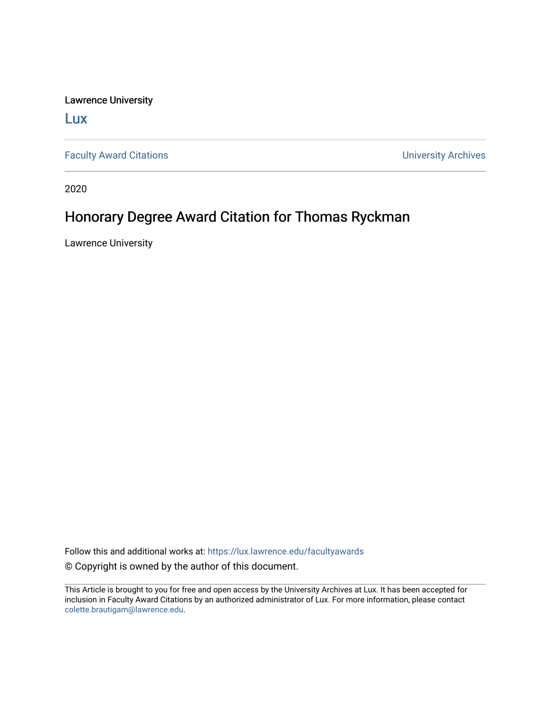Lawrence University

[Lux](https://lux.lawrence.edu/)

[Faculty Award Citations](https://lux.lawrence.edu/facultyawards) **Example 2018** 2019 12:30 Number 2019 12:30 Number 2019 12:30 Number 2019 12:30 Number 2019 12:30 Number 2019 12:30 Number 2019 12:30 Number 2019 12:30 Number 2019 12:30 Number 2019 12:30 Number 201

2020

## Honorary Degree Award Citation for Thomas Ryckman

Lawrence University

Follow this and additional works at: [https://lux.lawrence.edu/facultyawards](https://lux.lawrence.edu/facultyawards?utm_source=lux.lawrence.edu%2Ffacultyawards%2F219&utm_medium=PDF&utm_campaign=PDFCoverPages)  © Copyright is owned by the author of this document.

This Article is brought to you for free and open access by the University Archives at Lux. It has been accepted for inclusion in Faculty Award Citations by an authorized administrator of Lux. For more information, please contact [colette.brautigam@lawrence.edu.](mailto:colette.brautigam@lawrence.edu)